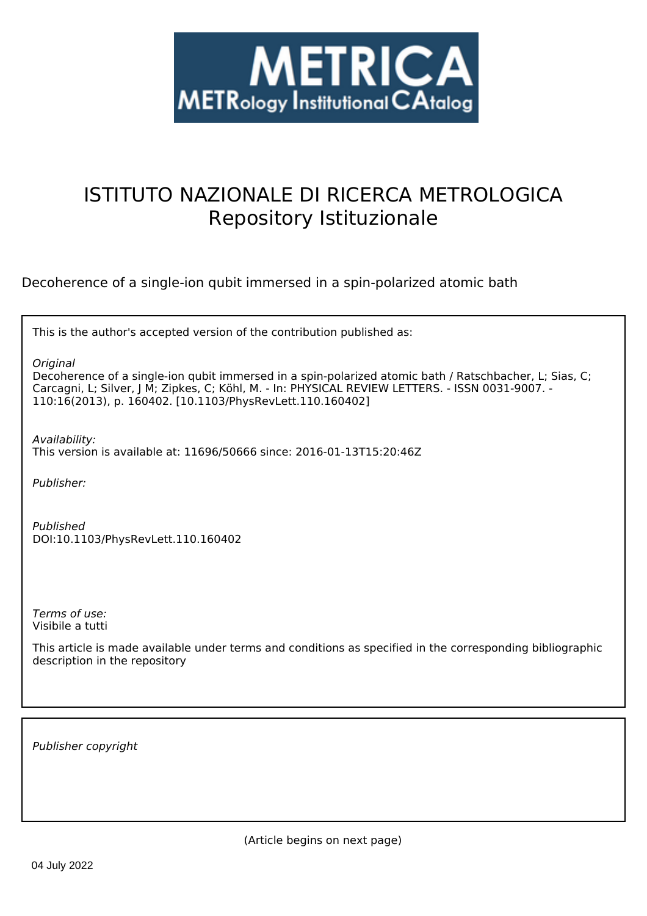

# ISTITUTO NAZIONALE DI RICERCA METROLOGICA Repository Istituzionale

Decoherence of a single-ion qubit immersed in a spin-polarized atomic bath

| This is the author's accepted version of the contribution published as: |  |  |  |
|-------------------------------------------------------------------------|--|--|--|
|-------------------------------------------------------------------------|--|--|--|

*Original*

Decoherence of a single-ion qubit immersed in a spin-polarized atomic bath / Ratschbacher, L; Sias, C; Carcagni, L; Silver, J M; Zipkes, C; Köhl, M. - In: PHYSICAL REVIEW LETTERS. - ISSN 0031-9007. - 110:16(2013), p. 160402. [10.1103/PhysRevLett.110.160402]

*Availability:* This version is available at: 11696/50666 since: 2016-01-13T15:20:46Z

*Publisher:*

*Published* DOI:10.1103/PhysRevLett.110.160402

*Terms of use:* Visibile a tutti

This article is made available under terms and conditions as specified in the corresponding bibliographic description in the repository

*Publisher copyright*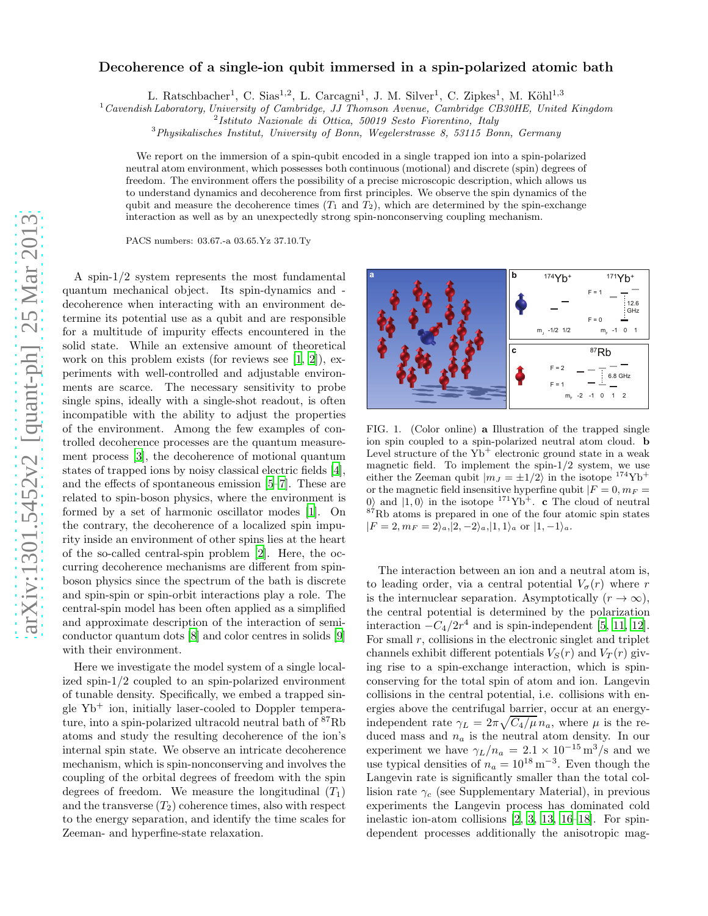# arXiv:1301.5452v2 [quant-ph] 25 Mar 2013 [arXiv:1301.5452v2 \[quant-ph\] 25 Mar 2013](http://arxiv.org/abs/1301.5452v2)

# Decoherence of a single-ion qubit immersed in a spin-polarized atomic bath

L. Ratschbacher<sup>1</sup>, C. Sias<sup>1,2</sup>, L. Carcagni<sup>1</sup>, J. M. Silver<sup>1</sup>, C. Zipkes<sup>1</sup>, M. Köhl<sup>1,3</sup>

 $1$  Cavendish Laboratory, University of Cambridge, JJ Thomson Avenue, Cambridge CB30HE, United Kingdom

 $3$ Physikalisches Institut, University of Bonn, Wegelerstrasse 8, 53115 Bonn, Germany

We report on the immersion of a spin-qubit encoded in a single trapped ion into a spin-polarized neutral atom environment, which possesses both continuous (motional) and discrete (spin) degrees of freedom. The environment offers the possibility of a precise microscopic description, which allows us to understand dynamics and decoherence from first principles. We observe the spin dynamics of the qubit and measure the decoherence times  $(T_1 \text{ and } T_2)$ , which are determined by the spin-exchange interaction as well as by an unexpectedly strong spin-nonconserving coupling mechanism.

PACS numbers: 03.67.-a 03.65.Yz 37.10.Ty

A spin-1/2 system represents the most fundamental quantum mechanical object. Its spin-dynamics and decoherence when interacting with an environment determine its potential use as a qubit and are responsible for a multitude of impurity effects encountered in the solid state. While an extensive amount of theoretical work on this problem exists (for reviews see [1, 2]), experiments with well-controlled and adjustable environments are scarce. The necessary sensitivity to probe single spins, ideally with a single-shot readout, is often incompatible with the ability to adjust the properties of the environment. Among the few examples of controlled decoherence processes are the quantum measurement process [3], the decoherence of motional quantum states of trapped ions by noisy classical electric fields [4], and the effects of spontaneous emission [5–7]. These are related to spin-boson physics, where the environment is formed by a set of harmonic oscillator modes [1]. On the contrary, the decoherence of a localized spin impurity inside an environment of other spins lies at the heart of the so-called central-spin problem [2]. Here, the occurring decoherence mechanisms are different from spinboson physics since the spectrum of the bath is discrete and spin-spin or spin-orbit interactions play a role. The central-spin model has been often applied as a simplified and approximate description of the interaction of semiconductor quantum dots [8] and color centres in solids [9] with their environment.

Here we investigate the model system of a single localized spin-1/2 coupled to an spin-polarized environment of tunable density. Specifically, we embed a trapped single  $Yb^+$  ion, initially laser-cooled to Doppler temperature, into a spin-polarized ultracold neutral bath of <sup>87</sup>Rb atoms and study the resulting decoherence of the ion's internal spin state. We observe an intricate decoherence mechanism, which is spin-nonconserving and involves the coupling of the orbital degrees of freedom with the spin degrees of freedom. We measure the longitudinal  $(T_1)$ and the transverse  $(T_2)$  coherence times, also with respect to the energy separation, and identify the time scales for Zeeman- and hyperfine-state relaxation.



FIG. 1. (Color online) a Illustration of the trapped single ion spin coupled to a spin-polarized neutral atom cloud. b Level structure of the  $Yb^+$  electronic ground state in a weak magnetic field. To implement the spin-1/2 system, we use either the Zeeman qubit  $|m_J = \pm 1/2\rangle$  in the isotope <sup>174</sup>Yb<sup>+</sup> or the magnetic field insensitive hyperfine qubit  $|F = 0, m_F =$ 0) and  $|1, 0\rangle$  in the isotope <sup>171</sup>Yb<sup>+</sup>. **c** The cloud of neutral  $87Rb$  atoms is prepared in one of the four atomic spin states  $|F = 2, m_F = 2\rangle_a, |2, -2\rangle_a, |1, 1\rangle_a$  or  $|1, -1\rangle_a$ .

The interaction between an ion and a neutral atom is, to leading order, via a central potential  $V_{\sigma}(r)$  where r is the internuclear separation. Asymptotically  $(r \to \infty)$ , the central potential is determined by the polarization interaction  $-C_4/2r^4$  and is spin-independent [5, 11, 12]. For small  $r$ , collisions in the electronic singlet and triplet channels exhibit different potentials  $V_S(r)$  and  $V_T(r)$  giving rise to a spin-exchange interaction, which is spinconserving for the total spin of atom and ion. Langevin collisions in the central potential, i.e. collisions with energies above the centrifugal barrier, occur at an energyindependent rate  $\gamma_L = 2\pi \sqrt{C_4/\mu} n_a$ , where  $\mu$  is the reduced mass and  $n_a$  is the neutral atom density. In our experiment we have  $\gamma_L/n_a = 2.1 \times 10^{-15} \text{ m}^3/\text{s}$  and we use typical densities of  $n_a = 10^{18} \,\mathrm{m}^{-3}$ . Even though the Langevin rate is significantly smaller than the total collision rate  $\gamma_c$  (see Supplementary Material), in previous experiments the Langevin process has dominated cold inelastic ion-atom collisions [2, 3, 13, 16–18]. For spindependent processes additionally the anisotropic mag-

<sup>2</sup> Istituto Nazionale di Ottica, 50019 Sesto Fiorentino, Italy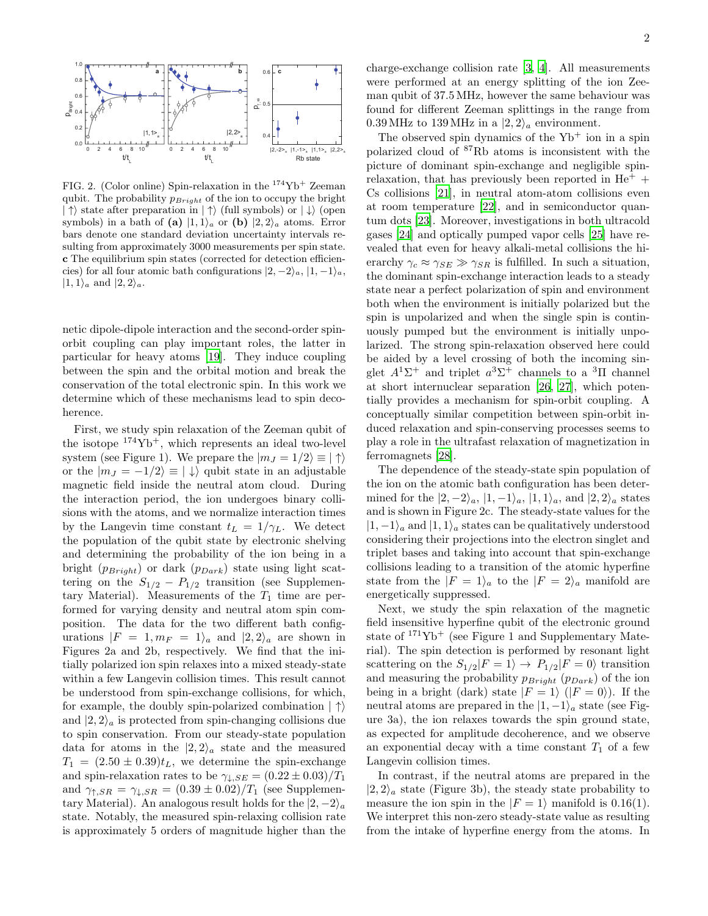

FIG. 2. (Color online) Spin-relaxation in the <sup>174</sup>Yb<sup>+</sup> Zeeman qubit. The probability  $p_{Bright}$  of the ion to occupy the bright  $|\uparrow\rangle$  state after preparation in  $|\uparrow\rangle$  (full symbols) or  $|\downarrow\rangle$  (open symbols) in a bath of (a)  $|1, 1\rangle_a$  or (b)  $|2, 2\rangle_a$  atoms. Error bars denote one standard deviation uncertainty intervals resulting from approximately 3000 measurements per spin state. c The equilibrium spin states (corrected for detection efficiencies) for all four atomic bath configurations  $|2, -2\rangle_a$ ,  $|1, -1\rangle_a$ ,  $|1, 1\rangle_a$  and  $|2, 2\rangle_a$ .

netic dipole-dipole interaction and the second-order spinorbit coupling can play important roles, the latter in particular for heavy atoms [19]. They induce coupling between the spin and the orbital motion and break the conservation of the total electronic spin. In this work we determine which of these mechanisms lead to spin decoherence.

First, we study spin relaxation of the Zeeman qubit of the isotope  $174\text{Yb}^+$ , which represents an ideal two-level system (see Figure 1). We prepare the  $|m_J = 1/2 \rangle \equiv |\uparrow\rangle$ or the  $|m_J = -1/2\rangle \equiv |\downarrow\rangle$  qubit state in an adjustable magnetic field inside the neutral atom cloud. During the interaction period, the ion undergoes binary collisions with the atoms, and we normalize interaction times by the Langevin time constant  $t_L = 1/\gamma_L$ . We detect the population of the qubit state by electronic shelving and determining the probability of the ion being in a bright  $(p_{Bright})$  or dark  $(p_{Dark})$  state using light scattering on the  $S_{1/2} - P_{1/2}$  transition (see Supplementary Material). Measurements of the  $T_1$  time are performed for varying density and neutral atom spin composition. The data for the two different bath configurations  $|F = 1, m_F = 1\rangle_a$  and  $|2, 2\rangle_a$  are shown in Figures 2a and 2b, respectively. We find that the initially polarized ion spin relaxes into a mixed steady-state within a few Langevin collision times. This result cannot be understood from spin-exchange collisions, for which, for example, the doubly spin-polarized combination  $|\uparrow\rangle$ and  $|2, 2\rangle_a$  is protected from spin-changing collisions due to spin conservation. From our steady-state population data for atoms in the  $|2, 2\rangle_a$  state and the measured  $T_1 = (2.50 \pm 0.39)t_L$ , we determine the spin-exchange and spin-relaxation rates to be  $\gamma_{\downarrow,SE} = (0.22 \pm 0.03)/T_1$ and  $\gamma_{\uparrow,SR} = \gamma_{\downarrow,SR} = (0.39 \pm 0.02)/T_1$  (see Supplementary Material). An analogous result holds for the  $|2, -2\rangle_a$ state. Notably, the measured spin-relaxing collision rate is approximately 5 orders of magnitude higher than the

charge-exchange collision rate [3, 4]. All measurements were performed at an energy splitting of the ion Zeeman qubit of 37.5 MHz, however the same behaviour was found for different Zeeman splittings in the range from 0.39 MHz to 139 MHz in a  $|2, 2\rangle_a$  environment.

The observed spin dynamics of the  $Yb^+$  ion in a spin polarized cloud of <sup>87</sup>Rb atoms is inconsistent with the picture of dominant spin-exchange and negligible spinrelaxation, that has previously been reported in  $He<sup>+</sup>$  + Cs collisions [21], in neutral atom-atom collisions even at room temperature [22], and in semiconductor quantum dots [23]. Moreover, investigations in both ultracold gases [24] and optically pumped vapor cells [25] have revealed that even for heavy alkali-metal collisions the hierarchy  $\gamma_c \approx \gamma_{SE} \gg \gamma_{SR}$  is fulfilled. In such a situation, the dominant spin-exchange interaction leads to a steady state near a perfect polarization of spin and environment both when the environment is initially polarized but the spin is unpolarized and when the single spin is continuously pumped but the environment is initially unpolarized. The strong spin-relaxation observed here could be aided by a level crossing of both the incoming singlet  $A^1\Sigma^+$  and triplet  $a^3\Sigma^+$  channels to a  ${}^3\Pi$  channel at short internuclear separation [26, 27], which potentially provides a mechanism for spin-orbit coupling. A conceptually similar competition between spin-orbit induced relaxation and spin-conserving processes seems to play a role in the ultrafast relaxation of magnetization in ferromagnets [28].

The dependence of the steady-state spin population of the ion on the atomic bath configuration has been determined for the  $|2, -2\rangle_a$ ,  $|1, -1\rangle_a$ ,  $|1, 1\rangle_a$ , and  $|2, 2\rangle_a$  states and is shown in Figure 2c. The steady-state values for the  $|1, -1\rangle$ <sub>a</sub> and  $|1, 1\rangle$ <sub>a</sub> states can be qualitatively understood considering their projections into the electron singlet and triplet bases and taking into account that spin-exchange collisions leading to a transition of the atomic hyperfine state from the  $|F = 1\rangle_a$  to the  $|F = 2\rangle_a$  manifold are energetically suppressed.

Next, we study the spin relaxation of the magnetic field insensitive hyperfine qubit of the electronic ground state of  $171\text{Yb}^+$  (see Figure 1 and Supplementary Material). The spin detection is performed by resonant light scattering on the  $S_{1/2}|F=1\rangle \rightarrow P_{1/2}|F=0\rangle$  transition and measuring the probability  $p_{Bright}$  ( $p_{Dark}$ ) of the ion being in a bright (dark) state  $|F = 1\rangle$  ( $|F = 0\rangle$ ). If the neutral atoms are prepared in the  $|1,-1\rangle$ <sub>a</sub> state (see Figure 3a), the ion relaxes towards the spin ground state, as expected for amplitude decoherence, and we observe an exponential decay with a time constant  $T_1$  of a few Langevin collision times.

In contrast, if the neutral atoms are prepared in the  $|2, 2\rangle$ <sub>a</sub> state (Figure 3b), the steady state probability to measure the ion spin in the  $|F = 1\rangle$  manifold is 0.16(1). We interpret this non-zero steady-state value as resulting from the intake of hyperfine energy from the atoms. In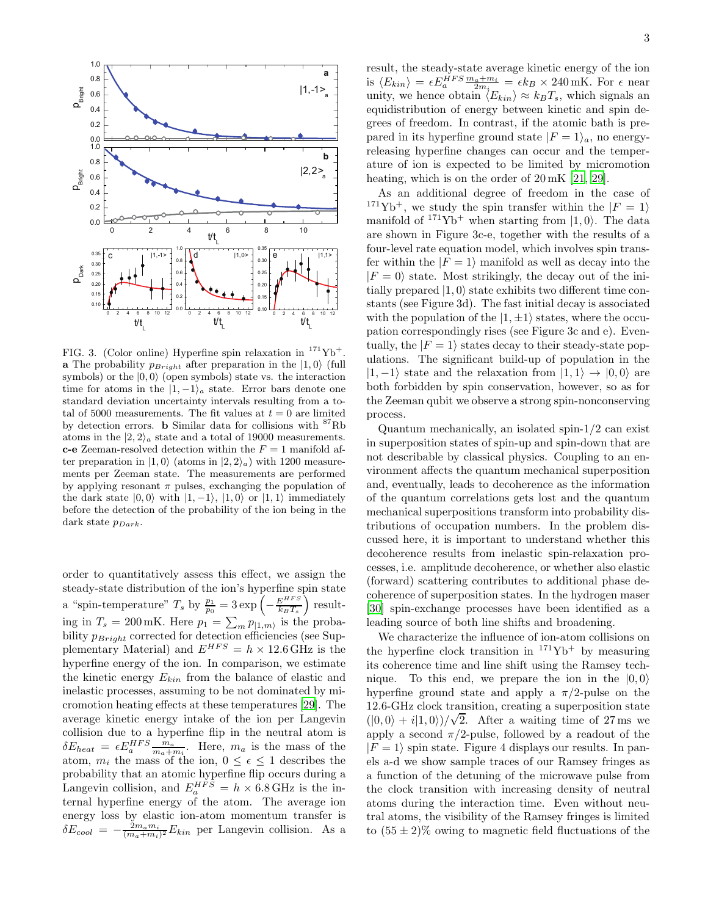

FIG. 3. (Color online) Hyperfine spin relaxation in  $^{171}{\rm Yb}^+$ **a** The probability  $p_{Bright}$  after preparation in the  $|1, 0\rangle$  (full symbols) or the  $|0, 0\rangle$  (open symbols) state vs. the interaction time for atoms in the  $|1, -1\rangle_a$  state. Error bars denote one standard deviation uncertainty intervals resulting from a total of 5000 measurements. The fit values at  $t = 0$  are limited by detection errors. b Similar data for collisions with <sup>87</sup>Rb atoms in the  $|2, 2\rangle_a$  state and a total of 19000 measurements. **c-e** Zeeman-resolved detection within the  $F = 1$  manifold after preparation in  $|1, 0\rangle$  (atoms in  $|2, 2\rangle_a$ ) with 1200 measurements per Zeeman state. The measurements are performed by applying resonant  $\pi$  pulses, exchanging the population of the dark state  $|0, 0\rangle$  with  $|1, -1\rangle$ ,  $|1, 0\rangle$  or  $|1, 1\rangle$  immediately before the detection of the probability of the ion being in the dark state  $p_{Dark}$ .

order to quantitatively assess this effect, we assign the steady-state distribution of the ion's hyperfine spin state a "spin-temperature"  $T_s$  by  $\frac{p_1}{p_0} = 3 \exp \left(-\frac{E^{HFS}}{k_B T_s}\right)$  $\frac{E^{HFS}}{k_BT_s}\Big)$  resulting in  $T_s = 200 \,\text{mK}$ . Here  $p_1 = \sum_m p_{|1,m\rangle}$  is the probability  $p_{Bright}$  corrected for detection efficiencies (see Supplementary Material) and  $E^{HFS} = h \times 12.6 \text{ GHz}$  is the hyperfine energy of the ion. In comparison, we estimate the kinetic energy  $E_{kin}$  from the balance of elastic and inelastic processes, assuming to be not dominated by micromotion heating effects at these temperatures [29]. The average kinetic energy intake of the ion per Langevin collision due to a hyperfine flip in the neutral atom is  $\delta E_{heat} = \epsilon E_a^{HFS} \frac{m_a}{m_a + m_i}$ . Here,  $m_a$  is the mass of the atom,  $m_i$  the mass of the ion,  $0 \leq \epsilon \leq 1$  describes the probability that an atomic hyperfine flip occurs during a Langevin collision, and  $E_a^{HFS} = h \times 6.8$  GHz is the internal hyperfine energy of the atom. The average ion energy loss by elastic ion-atom momentum transfer is  $\delta E_{cool} = -\frac{2m_a m_i}{(m_a + m_i)^2} E_{kin}$  per Langevin collision. As a

result, the steady-state average kinetic energy of the ion is  $\langle E_{kin} \rangle = \epsilon E_a^{HFS} \frac{m_a + m_i}{2m_i} = \epsilon k_B \times 240 \,\text{mK}$ . For  $\epsilon$  near unity, we hence obtain  $\langle E_{kin} \rangle \approx k_B T_s$ , which signals an equidistribution of energy between kinetic and spin degrees of freedom. In contrast, if the atomic bath is prepared in its hyperfine ground state  $|F = 1\rangle_a$ , no energyreleasing hyperfine changes can occur and the temperature of ion is expected to be limited by micromotion heating, which is on the order of 20 mK [21, 29].

As an additional degree of freedom in the case of <sup>171</sup>Yb<sup>+</sup>, we study the spin transfer within the  $|F = 1\rangle$ manifold of  $171\text{Yb}^+$  when starting from  $|1, 0\rangle$ . The data are shown in Figure 3c-e, together with the results of a four-level rate equation model, which involves spin transfer within the  $|F = 1\rangle$  manifold as well as decay into the  $|F = 0\rangle$  state. Most strikingly, the decay out of the initially prepared  $|1, 0\rangle$  state exhibits two different time constants (see Figure 3d). The fast initial decay is associated with the population of the  $|1, \pm 1\rangle$  states, where the occupation correspondingly rises (see Figure 3c and e). Eventually, the  $|F = 1\rangle$  states decay to their steady-state populations. The significant build-up of population in the  $|1, -1\rangle$  state and the relaxation from  $|1, 1\rangle \rightarrow |0, 0\rangle$  are both forbidden by spin conservation, however, so as for the Zeeman qubit we observe a strong spin-nonconserving process.

Quantum mechanically, an isolated spin-1/2 can exist in superposition states of spin-up and spin-down that are not describable by classical physics. Coupling to an environment affects the quantum mechanical superposition and, eventually, leads to decoherence as the information of the quantum correlations gets lost and the quantum mechanical superpositions transform into probability distributions of occupation numbers. In the problem discussed here, it is important to understand whether this decoherence results from inelastic spin-relaxation processes, i.e. amplitude decoherence, or whether also elastic (forward) scattering contributes to additional phase decoherence of superposition states. In the hydrogen maser [30] spin-exchange processes have been identified as a leading source of both line shifts and broadening.

We characterize the influence of ion-atom collisions on the hyperfine clock transition in  $171\text{Yb}^+$  by measuring its coherence time and line shift using the Ramsey technique. To this end, we prepare the ion in the  $|0, 0\rangle$ hyperfine ground state and apply a  $\pi/2$ -pulse on the 12.6-GHz clock transition, creating a superposition state  $(|0,0\rangle + i|1,0\rangle)/\sqrt{2}$ . After a waiting time of 27 ms we apply a second  $\pi/2$ -pulse, followed by a readout of the  $|F = 1\rangle$  spin state. Figure 4 displays our results. In panels a-d we show sample traces of our Ramsey fringes as a function of the detuning of the microwave pulse from the clock transition with increasing density of neutral atoms during the interaction time. Even without neutral atoms, the visibility of the Ramsey fringes is limited to  $(55 \pm 2)\%$  owing to magnetic field fluctuations of the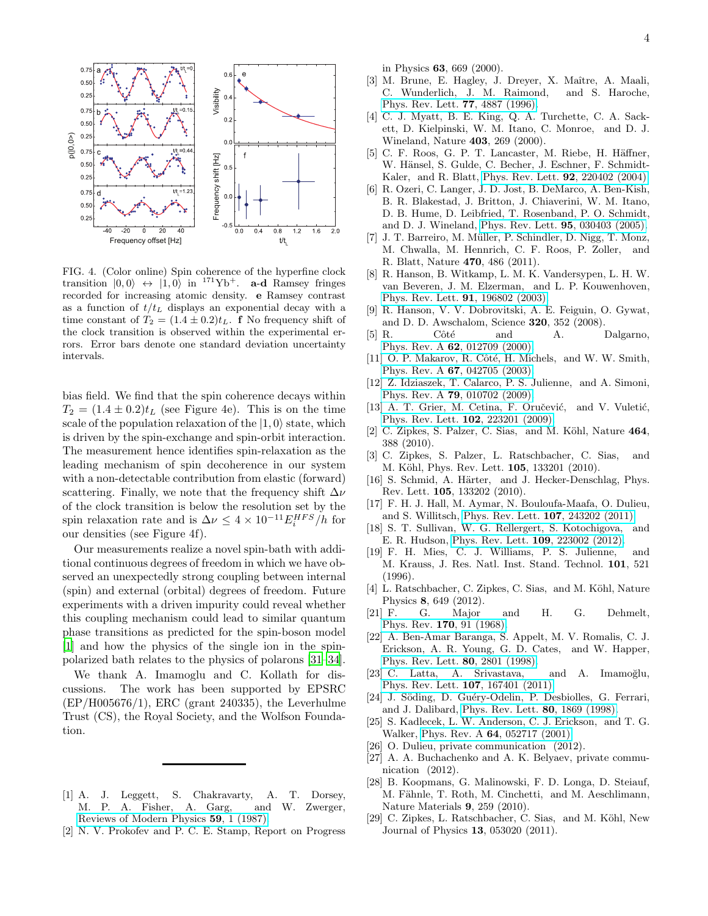

FIG. 4. (Color online) Spin coherence of the hyperfine clock transition  $|0, 0\rangle \leftrightarrow |1, 0\rangle$  in <sup>171</sup>Yb<sup>+</sup>. **a-d** Ramsey fringes recorded for increasing atomic density. e Ramsey contrast as a function of  $t/t_L$  displays an exponential decay with a time constant of  $T_2 = (1.4 \pm 0.2)t_L$ . **f** No frequency shift of the clock transition is observed within the experimental errors. Error bars denote one standard deviation uncertainty intervals.

bias field. We find that the spin coherence decays within  $T_2 = (1.4 \pm 0.2)t_L$  (see Figure 4e). This is on the time scale of the population relaxation of the  $|1, 0\rangle$  state, which is driven by the spin-exchange and spin-orbit interaction. The measurement hence identifies spin-relaxation as the leading mechanism of spin decoherence in our system with a non-detectable contribution from elastic (forward) scattering. Finally, we note that the frequency shift  $\Delta \nu$ of the clock transition is below the resolution set by the spin relaxation rate and is  $\Delta \nu \leq 4 \times 10^{-11} E_i^{HFS}/h$  for our densities (see Figure 4f).

Our measurements realize a novel spin-bath with additional continuous degrees of freedom in which we have observed an unexpectedly strong coupling between internal (spin) and external (orbital) degrees of freedom. Future experiments with a driven impurity could reveal whether this coupling mechanism could lead to similar quantum phase transitions as predicted for the spin-boson model [1] and how the physics of the single ion in the spinpolarized bath relates to the physics of polarons [31–34].

We thank A. Imamoglu and C. Kollath for discussions. The work has been supported by EPSRC (EP/H005676/1), ERC (grant 240335), the Leverhulme Trust (CS), the Royal Society, and the Wolfson Foundation.

- [1] A. J. Leggett, S. Chakravarty, A. T. Dorsey, M. P. A. Fisher, A. Garg, and W. Zwerger, [Reviews of Modern Physics](http://dx.doi.org/10.1103/RevModPhys.59.1) 59, 1 (1987).
- [2] N. V. Prokofev and P. C. E. Stamp, Report on Progress

in Physics 63, 669 (2000).

- [3] M. Brune, E. Hagley, J. Dreyer, X. Maître, A. Maali, C. Wunderlich, J. M. Raimond, and S. Haroche, [Phys. Rev. Lett.](http://dx.doi.org/10.1103/PhysRevLett.77.4887) 77, 4887 (1996).
- [4] C. J. Myatt, B. E. King, Q. A. Turchette, C. A. Sackett, D. Kielpinski, W. M. Itano, C. Monroe, and D. J. Wineland, Nature 403, 269 (2000).
- [5] C. F. Roos, G. P. T. Lancaster, M. Riebe, H. Häffner, W. Hänsel, S. Gulde, C. Becher, J. Eschner, F. Schmidt-Kaler, and R. Blatt, [Phys. Rev. Lett.](http://dx.doi.org/10.1103/PhysRevLett.92.220402) 92, 220402 (2004).
- [6] R. Ozeri, C. Langer, J. D. Jost, B. DeMarco, A. Ben-Kish, B. R. Blakestad, J. Britton, J. Chiaverini, W. M. Itano, D. B. Hume, D. Leibfried, T. Rosenband, P. O. Schmidt, and D. J. Wineland, [Phys. Rev. Lett.](http://dx.doi.org/ 10.1103/PhysRevLett.95.030403) 95, 030403 (2005).
- [7] J. T. Barreiro, M. Müller, P. Schindler, D. Nigg, T. Monz, M. Chwalla, M. Hennrich, C. F. Roos, P. Zoller, and R. Blatt, Nature 470, 486 (2011).
- [8] R. Hanson, B. Witkamp, L. M. K. Vandersypen, L. H. W. van Beveren, J. M. Elzerman, and L. P. Kouwenhoven, [Phys. Rev. Lett.](http://dx.doi.org/10.1103/PhysRevLett.91.196802) 91, 196802 (2003).
- [9] R. Hanson, V. V. Dobrovitski, A. E. Feiguin, O. Gywat, and D. D. Awschalom, Science 320, 352 (2008).
- [5] R. Côté and A. Dalgarno, Phys. Rev. A 62[, 012709 \(2000\).](http://dx.doi.org/10.1103/PhysRevA.62.012709)
- [11] O. P. Makarov, R. Côté, H. Michels, and W. W. Smith, Phys. Rev. A 67[, 042705 \(2003\).](http://dx.doi.org/10.1103/PhysRevA.67.042705)
- [12] Z. Idziaszek, T. Calarco, P. S. Julienne, and A. Simoni, Phys. Rev. A 79[, 010702 \(2009\).](http://dx.doi.org/10.1103/PhysRevA.79.010702)
- [13] A. T. Grier, M. Cetina, F. Oručević, and V. Vuletić, [Phys. Rev. Lett.](http://dx.doi.org/10.1103/PhysRevLett.102.223201) 102, 223201 (2009).
- [2] C. Zipkes, S. Palzer, C. Sias, and M. Köhl, Nature 464, 388 (2010).
- [3] C. Zipkes, S. Palzer, L. Ratschbacher, C. Sias, and M. Köhl, Phys. Rev. Lett. **105**, 133201 (2010).
- [16] S. Schmid, A. Härter, and J. Hecker-Denschlag, Phys. Rev. Lett. 105, 133202 (2010).
- [17] F. H. J. Hall, M. Aymar, N. Bouloufa-Maafa, O. Dulieu, and S. Willitsch, [Phys. Rev. Lett.](http://dx.doi.org/10.1103/PhysRevLett.107.243202) 107, 243202 (2011).
- [18] S. T. Sullivan, W. G. Rellergert, S. Kotochigova, and E. R. Hudson, [Phys. Rev. Lett.](http://dx.doi.org/10.1103/PhysRevLett.109.223002) 109, 223002 (2012).
- [19] F. H. Mies, C. J. Williams, P. S. Julienne, and M. Krauss, J. Res. Natl. Inst. Stand. Technol. 101, 521 (1996).
- [4] L. Ratschbacher, C. Zipkes, C. Sias, and M. Köhl, Nature Physics 8, 649 (2012).
- [21] F. G. Major and H. G. Dehmelt, Phys. Rev. 170[, 91 \(1968\).](http://dx.doi.org/10.1103/PhysRev.170.91)
- [22] A. Ben-Amar Baranga, S. Appelt, M. V. Romalis, C. J. Erickson, A. R. Young, G. D. Cates, and W. Happer, [Phys. Rev. Lett.](http://dx.doi.org/ 10.1103/PhysRevLett.80.2801) 80, 2801 (1998).
- [23] C. Latta, A. Srivastava, and A. Imamoğlu, [Phys. Rev. Lett.](http://dx.doi.org/ 10.1103/PhysRevLett.107.167401) 107, 167401 (2011).
- [24] J. Söding, D. Guéry-Odelin, P. Desbiolles, G. Ferrari, and J. Dalibard, [Phys. Rev. Lett.](http://dx.doi.org/10.1103/PhysRevLett.80.1869) 80, 1869 (1998).
- [25] S. Kadlecek, L. W. Anderson, C. J. Erickson, and T. G. Walker, Phys. Rev. A 64[, 052717 \(2001\).](http://dx.doi.org/10.1103/PhysRevA.64.052717)
- [26] O. Dulieu, private communication (2012).
- [27] A. A. Buchachenko and A. K. Belyaev, private communication (2012).
- [28] B. Koopmans, G. Malinowski, F. D. Longa, D. Steiauf, M. Fähnle, T. Roth, M. Cinchetti, and M. Aeschlimann, Nature Materials 9, 259 (2010).
- [29] C. Zipkes, L. Ratschbacher, C. Sias, and M. Köhl, New Journal of Physics 13, 053020 (2011).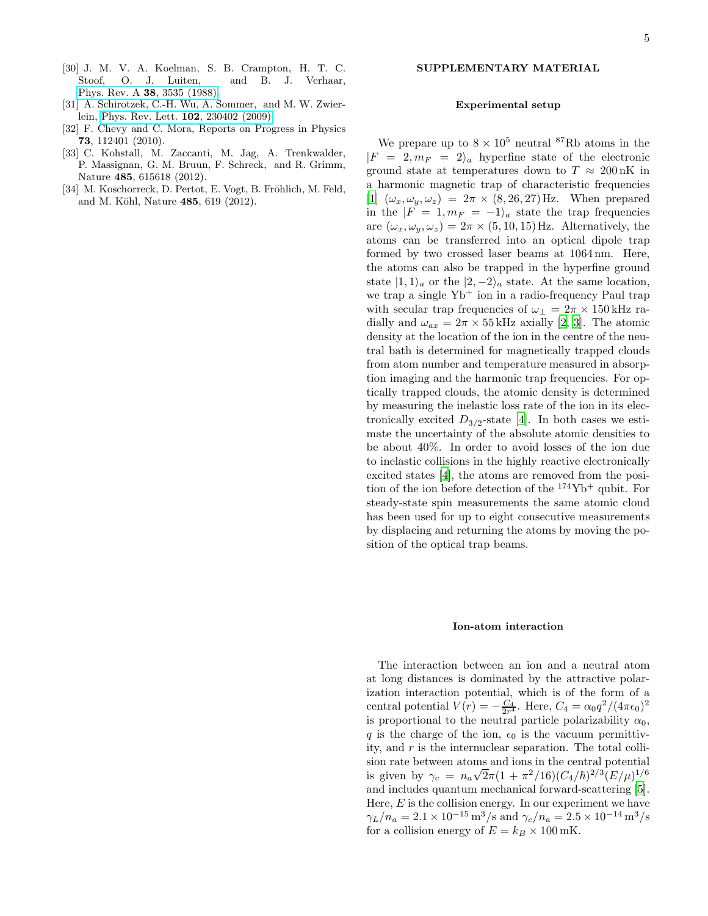- [30] J. M. V. A. Koelman, S. B. Crampton, H. T. C. Stoof, O. J. Luiten, and B. J. Verhaar, Phys. Rev. A 38[, 3535 \(1988\).](http://dx.doi.org/10.1103/PhysRevA.38.3535)
- [31] A. Schirotzek, C.-H. Wu, A. Sommer, and M. W. Zwierlein, [Phys. Rev. Lett.](http://dx.doi.org/ 10.1103/PhysRevLett.102.230402) 102, 230402 (2009).
- [32] F. Chevy and C. Mora, Reports on Progress in Physics 73, 112401 (2010).
- [33] C. Kohstall, M. Zaccanti, M. Jag, A. Trenkwalder, P. Massignan, G. M. Bruun, F. Schreck, and R. Grimm, Nature 485, 615618 (2012).
- [34] M. Koschorreck, D. Pertot, E. Vogt, B. Fröhlich, M. Feld, and M. Köhl, Nature 485, 619 (2012).

# SUPPLEMENTARY MATERIAL

### Experimental setup

We prepare up to  $8 \times 10^5$  neutral <sup>87</sup>Rb atoms in the  $|F = 2, m_F = 2\rangle_a$  hyperfine state of the electronic ground state at temperatures down to  $T \approx 200 \text{ nK}$  in a harmonic magnetic trap of characteristic frequencies [1]  $(\omega_x, \omega_y, \omega_z) = 2\pi \times (8, 26, 27)$  Hz. When prepared in the  $|F = 1, m_F = -1\rangle_a$  state the trap frequencies are  $(\omega_x, \omega_y, \omega_z) = 2\pi \times (5, 10, 15)$  Hz. Alternatively, the atoms can be transferred into an optical dipole trap formed by two crossed laser beams at 1064 nm. Here, the atoms can also be trapped in the hyperfine ground state  $|1, 1\rangle_a$  or the  $|2, -2\rangle_a$  state. At the same location, we trap a single  $Yb^+$  ion in a radio-frequency Paul trap with secular trap frequencies of  $\omega_{\perp} = 2\pi \times 150$  kHz radially and  $\omega_{ax} = 2\pi \times 55$  kHz axially [2, 3]. The atomic density at the location of the ion in the centre of the neutral bath is determined for magnetically trapped clouds from atom number and temperature measured in absorption imaging and the harmonic trap frequencies. For optically trapped clouds, the atomic density is determined by measuring the inelastic loss rate of the ion in its electronically excited  $D_{3/2}$ -state [4]. In both cases we estimate the uncertainty of the absolute atomic densities to be about 40%. In order to avoid losses of the ion due to inelastic collisions in the highly reactive electronically excited states [4], the atoms are removed from the position of the ion before detection of the  $174\text{Yb}^+$  qubit. For steady-state spin measurements the same atomic cloud has been used for up to eight consecutive measurements by displacing and returning the atoms by moving the position of the optical trap beams.

### Ion-atom interaction

The interaction between an ion and a neutral atom at long distances is dominated by the attractive polarization interaction potential, which is of the form of a central potential  $V(r) = -\frac{C_4}{2r^4}$ . Here,  $C_4 = \alpha_0 q^2/(4\pi\epsilon_0)^2$ is proportional to the neutral particle polarizability  $\alpha_0$ , q is the charge of the ion,  $\epsilon_0$  is the vacuum permittivity, and  $r$  is the internuclear separation. The total collision rate between atoms and ions in the central potential is given by  $\gamma_c = n_a \sqrt{2\pi} (1 + \pi^2/16) (C_4/\hbar)^{2/3} (E/\mu)^{1/6}$ and includes quantum mechanical forward-scattering [5]. Here,  $E$  is the collision energy. In our experiment we have  $\gamma_L/n_a = 2.1 \times 10^{-15} \,\mathrm{m}^3/\mathrm{s}$  and  $\gamma_c/n_a = 2.5 \times 10^{-14} \,\mathrm{m}^3/\mathrm{s}$ for a collision energy of  $E = k_B \times 100 \text{ mK}$ .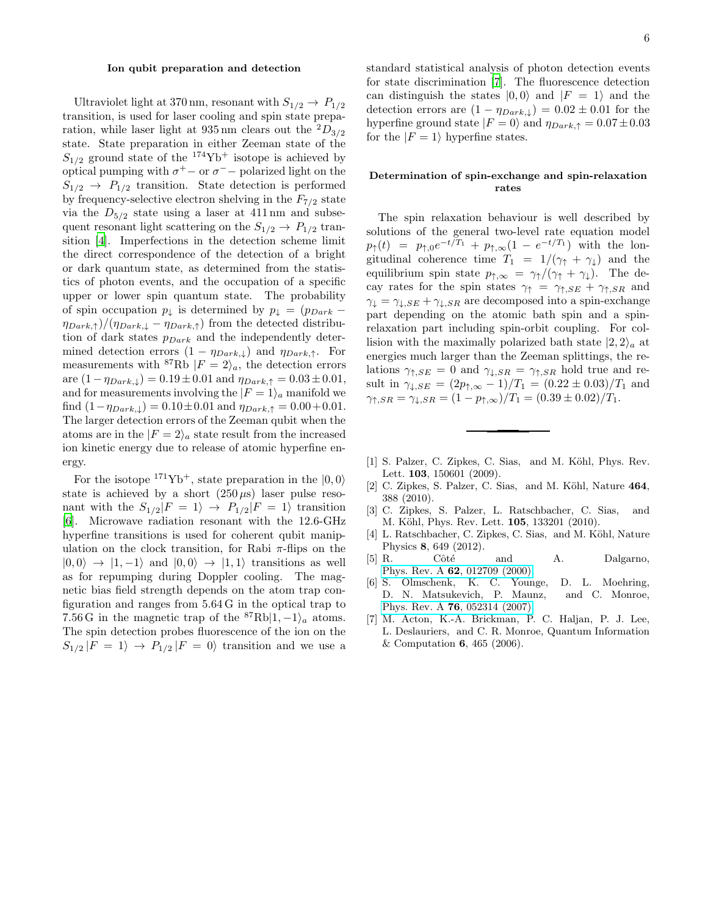# Ion qubit preparation and detection

Ultraviolet light at 370 nm, resonant with  $S_{1/2} \rightarrow P_{1/2}$ transition, is used for laser cooling and spin state preparation, while laser light at 935 nm clears out the  ${}^{2}D_{3/2}$ state. State preparation in either Zeeman state of the  $S_{1/2}$  ground state of the <sup>174</sup>Yb<sup>+</sup> isotope is achieved by optical pumping with  $\sigma^+$  – or  $\sigma^-$  – polarized light on the  $S_{1/2} \rightarrow P_{1/2}$  transition. State detection is performed by frequency-selective electron shelving in the  $F_{7/2}$  state via the  $D_{5/2}$  state using a laser at 411 nm and subsequent resonant light scattering on the  $S_{1/2} \rightarrow P_{1/2}$  transition [4]. Imperfections in the detection scheme limit the direct correspondence of the detection of a bright or dark quantum state, as determined from the statistics of photon events, and the occupation of a specific upper or lower spin quantum state. The probability of spin occupation  $p_{\downarrow}$  is determined by  $p_{\downarrow} = (p_{Dark} - p_{\downarrow})$  $(\eta_{Dark,\uparrow})/(\eta_{Dark,\downarrow} - \eta_{Dark,\uparrow})$  from the detected distribution of dark states  $p_{Dark}$  and the independently determined detection errors  $(1 - \eta_{Dark,\downarrow})$  and  $\eta_{Dark,\uparrow}$ . For measurements with <sup>87</sup>Rb  $|F = 2\rangle_a$ , the detection errors are  $(1-\eta_{Dark,\downarrow}) = 0.19 \pm 0.01$  and  $\eta_{Dark,\uparrow} = 0.03 \pm 0.01$ , and for measurements involving the  $|F = 1\rangle_a$  manifold we find  $(1-\eta_{Dark,\downarrow}) = 0.10 \pm 0.01$  and  $\eta_{Dark,\uparrow} = 0.00 + 0.01$ . The larger detection errors of the Zeeman qubit when the atoms are in the  $|F = 2\rangle_a$  state result from the increased ion kinetic energy due to release of atomic hyperfine energy.

For the isotope  $171\text{Yb}^+$ , state preparation in the  $|0, 0\rangle$ state is achieved by a short  $(250 \,\mu s)$  laser pulse resonant with the  $S_{1/2}|F = 1\rangle \rightarrow P_{1/2}|F = 1\rangle$  transition [6]. Microwave radiation resonant with the 12.6-GHz hyperfine transitions is used for coherent qubit manipulation on the clock transition, for Rabi  $\pi$ -flips on the  $|0, 0\rangle \rightarrow |1, -1\rangle$  and  $|0, 0\rangle \rightarrow |1, 1\rangle$  transitions as well as for repumping during Doppler cooling. The magnetic bias field strength depends on the atom trap configuration and ranges from 5.64 G in the optical trap to 7.56 G in the magnetic trap of the  ${}^{87}Rb|1, -1\rangle_a$  atoms. The spin detection probes fluorescence of the ion on the  $S_{1/2}$   $|F = 1\rangle \rightarrow P_{1/2}$   $|F = 0\rangle$  transition and we use a standard statistical analysis of photon detection events for state discrimination [7]. The fluorescence detection can distinguish the states  $|0,0\rangle$  and  $|F = 1\rangle$  and the detection errors are  $(1 - \eta_{Dark,\downarrow}) = 0.02 \pm 0.01$  for the hyperfine ground state  $|F = 0\rangle$  and  $\eta_{Dark, \uparrow} = 0.07 \pm 0.03$ for the  $|F = 1\rangle$  hyperfine states.

## Determination of spin-exchange and spin-relaxation rates

The spin relaxation behaviour is well described by solutions of the general two-level rate equation model  $p_{\uparrow}(t) = p_{\uparrow,0}e^{-t/T_1} + p_{\uparrow,\infty}(1 - e^{-t/T_1})$  with the longitudinal coherence time  $T_1 = 1/(\gamma_{\uparrow} + \gamma_{\downarrow})$  and the equilibrium spin state  $p_{\uparrow,\infty} = \gamma_{\uparrow}/(\gamma_{\uparrow} + \gamma_{\downarrow}).$  The decay rates for the spin states  $\gamma_{\uparrow} = \gamma_{\uparrow,SE} + \gamma_{\uparrow,SR}$  and  $\gamma_{\perp} = \gamma_{\perp,SE} + \gamma_{\perp,SR}$  are decomposed into a spin-exchange part depending on the atomic bath spin and a spinrelaxation part including spin-orbit coupling. For collision with the maximally polarized bath state  $|2, 2\rangle_a$  at energies much larger than the Zeeman splittings, the relations  $\gamma_{\uparrow,SE} = 0$  and  $\gamma_{\downarrow,SR} = \gamma_{\uparrow,SR}$  hold true and result in  $\gamma_{\downarrow,SE} = (2p_{\uparrow,\infty} - 1)/T_1 = (0.22 \pm 0.03)/T_1$  and  $\gamma_{\uparrow,SR} = \gamma_{\downarrow,SR} = (1 - p_{\uparrow,\infty})/T_1 = (0.39 \pm 0.02)/T_1.$ 

- [1] S. Palzer, C. Zipkes, C. Sias, and M. Köhl, Phys. Rev. Lett. 103, 150601 (2009).
- [2] C. Zipkes, S. Palzer, C. Sias, and M. Köhl, Nature 464, 388 (2010).
- [3] C. Zipkes, S. Palzer, L. Ratschbacher, C. Sias, and M. Köhl, Phys. Rev. Lett. **105**, 133201 (2010).
- [4] L. Ratschbacher, C. Zipkes, C. Sias, and M. Köhl, Nature Physics 8, 649 (2012).
- $[5]$  R. Côté and A. Dalgarno, Phys. Rev. A 62[, 012709 \(2000\).](http://dx.doi.org/10.1103/PhysRevA.62.012709)
- [6] S. Olmschenk, K. C. Younge, D. L. Moehring, D. N. Matsukevich, P. Maunz, and C. Monroe, Phys. Rev. A 76[, 052314 \(2007\).](http://dx.doi.org/10.1103/PhysRevA.76.052314)
- [7] M. Acton, K.-A. Brickman, P. C. Haljan, P. J. Lee, L. Deslauriers, and C. R. Monroe, Quantum Information & Computation 6, 465 (2006).